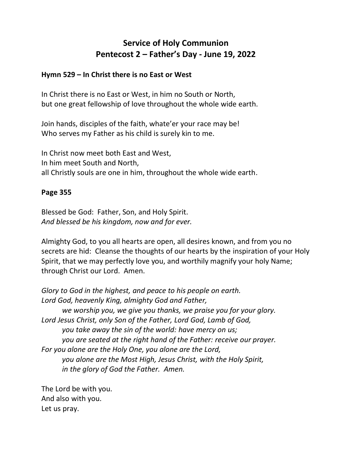# **Service of Holy Communion Pentecost 2 – Father's Day - June 19, 2022**

## **Hymn 529 – In Christ there is no East or West**

In Christ there is no East or West, in him no South or North, but one great fellowship of love throughout the whole wide earth.

Join hands, disciples of the faith, whate'er your race may be! Who serves my Father as his child is surely kin to me.

In Christ now meet both East and West, In him meet South and North, all Christly souls are one in him, throughout the whole wide earth.

# **Page 355**

Blessed be God: Father, Son, and Holy Spirit. *And blessed be his kingdom, now and for ever.*

Almighty God, to you all hearts are open, all desires known, and from you no secrets are hid: Cleanse the thoughts of our hearts by the inspiration of your Holy Spirit, that we may perfectly love you, and worthily magnify your holy Name; through Christ our Lord. Amen.

*Glory to God in the highest, and peace to his people on earth. Lord God, heavenly King, almighty God and Father, we worship you, we give you thanks, we praise you for your glory. Lord Jesus Christ, only Son of the Father, Lord God, Lamb of God, you take away the sin of the world: have mercy on us; you are seated at the right hand of the Father: receive our prayer. For you alone are the Holy One, you alone are the Lord, you alone are the Most High, Jesus Christ, with the Holy Spirit, in the glory of God the Father. Amen.*

The Lord be with you. And also with you. Let us pray.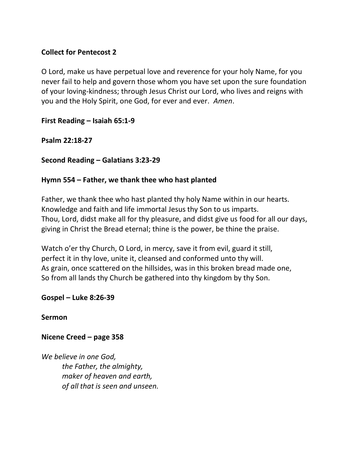## **Collect for Pentecost 2**

O Lord, make us have perpetual love and reverence for your holy Name, for you never fail to help and govern those whom you have set upon the sure foundation of your loving-kindness; through Jesus Christ our Lord, who lives and reigns with you and the Holy Spirit, one God, for ever and ever. *Amen*.

**First Reading – Isaiah 65:1-9**

**Psalm 22:18-27**

**Second Reading – Galatians 3:23-29**

# **Hymn 554 – Father, we thank thee who hast planted**

Father, we thank thee who hast planted thy holy Name within in our hearts. Knowledge and faith and life immortal Jesus thy Son to us imparts. Thou, Lord, didst make all for thy pleasure, and didst give us food for all our days, giving in Christ the Bread eternal; thine is the power, be thine the praise.

Watch o'er thy Church, O Lord, in mercy, save it from evil, guard it still, perfect it in thy love, unite it, cleansed and conformed unto thy will. As grain, once scattered on the hillsides, was in this broken bread made one, So from all lands thy Church be gathered into thy kingdom by thy Son.

#### **Gospel – Luke 8:26-39**

**Sermon**

**Nicene Creed – page 358**

*We believe in one God, the Father, the almighty, maker of heaven and earth, of all that is seen and unseen.*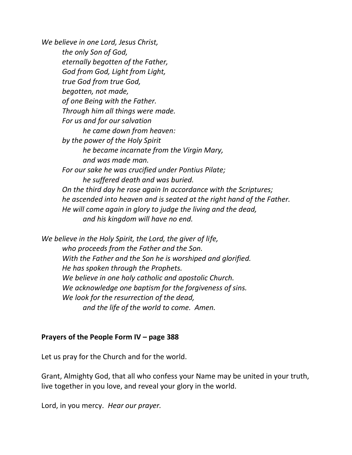*We believe in one Lord, Jesus Christ, the only Son of God, eternally begotten of the Father, God from God, Light from Light, true God from true God, begotten, not made, of one Being with the Father. Through him all things were made. For us and for our salvation he came down from heaven: by the power of the Holy Spirit he became incarnate from the Virgin Mary, and was made man. For our sake he was crucified under Pontius Pilate; he suffered death and was buried. On the third day he rose again In accordance with the Scriptures; he ascended into heaven and is seated at the right hand of the Father. He will come again in glory to judge the living and the dead, and his kingdom will have no end.*

*We believe in the Holy Spirit, the Lord, the giver of life, who proceeds from the Father and the Son. With the Father and the Son he is worshiped and glorified. He has spoken through the Prophets. We believe in one holy catholic and apostolic Church. We acknowledge one baptism for the forgiveness of sins. We look for the resurrection of the dead, and the life of the world to come. Amen.*

#### **Prayers of the People Form IV – page 388**

Let us pray for the Church and for the world.

Grant, Almighty God, that all who confess your Name may be united in your truth, live together in you love, and reveal your glory in the world.

Lord, in you mercy. *Hear our prayer.*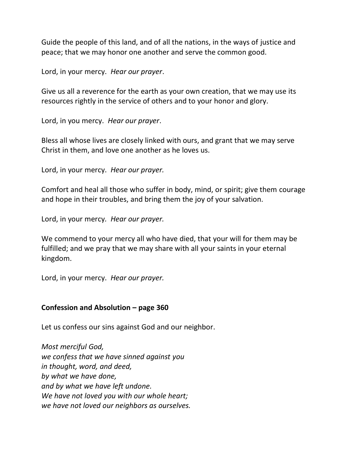Guide the people of this land, and of all the nations, in the ways of justice and peace; that we may honor one another and serve the common good.

Lord, in your mercy. *Hear our prayer*.

Give us all a reverence for the earth as your own creation, that we may use its resources rightly in the service of others and to your honor and glory.

Lord, in you mercy. *Hear our prayer*.

Bless all whose lives are closely linked with ours, and grant that we may serve Christ in them, and love one another as he loves us.

Lord, in your mercy. *Hear our prayer.*

Comfort and heal all those who suffer in body, mind, or spirit; give them courage and hope in their troubles, and bring them the joy of your salvation.

Lord, in your mercy*. Hear our prayer.*

We commend to your mercy all who have died, that your will for them may be fulfilled; and we pray that we may share with all your saints in your eternal kingdom.

Lord, in your mercy. *Hear our prayer.*

#### **Confession and Absolution – page 360**

Let us confess our sins against God and our neighbor.

*Most merciful God, we confess that we have sinned against you in thought, word, and deed, by what we have done, and by what we have left undone. We have not loved you with our whole heart; we have not loved our neighbors as ourselves.*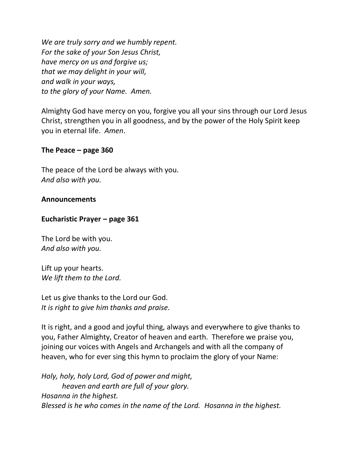*We are truly sorry and we humbly repent. For the sake of your Son Jesus Christ, have mercy on us and forgive us; that we may delight in your will, and walk in your ways, to the glory of your Name. Amen.*

Almighty God have mercy on you, forgive you all your sins through our Lord Jesus Christ, strengthen you in all goodness, and by the power of the Holy Spirit keep you in eternal life. *Amen*.

## **The Peace – page 360**

The peace of the Lord be always with you. *And also with you.*

#### **Announcements**

## **Eucharistic Prayer – page 361**

The Lord be with you. *And also with you.*

Lift up your hearts. *We lift them to the Lord.*

Let us give thanks to the Lord our God. *It is right to give him thanks and praise.*

It is right, and a good and joyful thing, always and everywhere to give thanks to you, Father Almighty, Creator of heaven and earth. Therefore we praise you, joining our voices with Angels and Archangels and with all the company of heaven, who for ever sing this hymn to proclaim the glory of your Name:

*Holy, holy, holy Lord, God of power and might, heaven and earth are full of your glory. Hosanna in the highest. Blessed is he who comes in the name of the Lord. Hosanna in the highest.*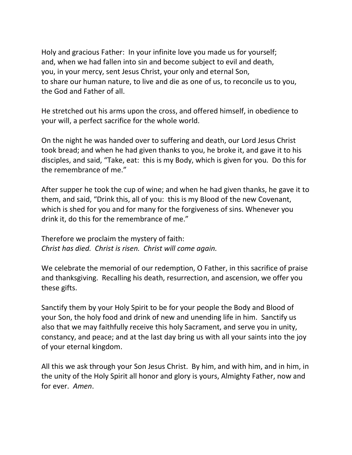Holy and gracious Father: In your infinite love you made us for yourself; and, when we had fallen into sin and become subject to evil and death, you, in your mercy, sent Jesus Christ, your only and eternal Son, to share our human nature, to live and die as one of us, to reconcile us to you, the God and Father of all.

He stretched out his arms upon the cross, and offered himself, in obedience to your will, a perfect sacrifice for the whole world.

On the night he was handed over to suffering and death, our Lord Jesus Christ took bread; and when he had given thanks to you, he broke it, and gave it to his disciples, and said, "Take, eat: this is my Body, which is given for you. Do this for the remembrance of me."

After supper he took the cup of wine; and when he had given thanks, he gave it to them, and said, "Drink this, all of you: this is my Blood of the new Covenant, which is shed for you and for many for the forgiveness of sins. Whenever you drink it, do this for the remembrance of me."

Therefore we proclaim the mystery of faith: *Christ has died. Christ is risen. Christ will come again.*

We celebrate the memorial of our redemption, O Father, in this sacrifice of praise and thanksgiving. Recalling his death, resurrection, and ascension, we offer you these gifts.

Sanctify them by your Holy Spirit to be for your people the Body and Blood of your Son, the holy food and drink of new and unending life in him. Sanctify us also that we may faithfully receive this holy Sacrament, and serve you in unity, constancy, and peace; and at the last day bring us with all your saints into the joy of your eternal kingdom.

All this we ask through your Son Jesus Christ. By him, and with him, and in him, in the unity of the Holy Spirit all honor and glory is yours, Almighty Father, now and for ever. *Amen*.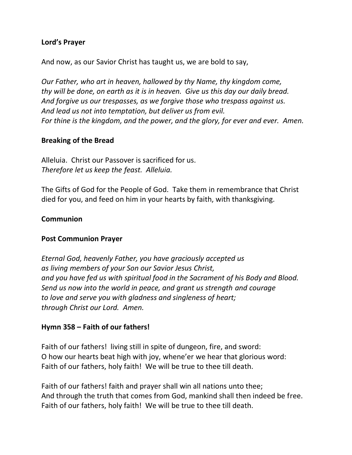## **Lord's Prayer**

And now, as our Savior Christ has taught us, we are bold to say,

*Our Father, who art in heaven, hallowed by thy Name, thy kingdom come, thy will be done, on earth as it is in heaven. Give us this day our daily bread. And forgive us our trespasses, as we forgive those who trespass against us. And lead us not into temptation, but deliver us from evil. For thine is the kingdom, and the power, and the glory, for ever and ever. Amen.*

## **Breaking of the Bread**

Alleluia. Christ our Passover is sacrificed for us. *Therefore let us keep the feast. Alleluia.*

The Gifts of God for the People of God. Take them in remembrance that Christ died for you, and feed on him in your hearts by faith, with thanksgiving.

#### **Communion**

#### **Post Communion Prayer**

*Eternal God, heavenly Father, you have graciously accepted us as living members of your Son our Savior Jesus Christ, and you have fed us with spiritual food in the Sacrament of his Body and Blood. Send us now into the world in peace, and grant us strength and courage to love and serve you with gladness and singleness of heart; through Christ our Lord. Amen.*

#### **Hymn 358 – Faith of our fathers!**

Faith of our fathers! living still in spite of dungeon, fire, and sword: O how our hearts beat high with joy, whene'er we hear that glorious word: Faith of our fathers, holy faith! We will be true to thee till death.

Faith of our fathers! faith and prayer shall win all nations unto thee; And through the truth that comes from God, mankind shall then indeed be free. Faith of our fathers, holy faith! We will be true to thee till death.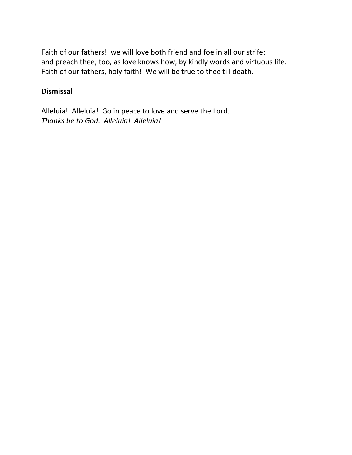Faith of our fathers! we will love both friend and foe in all our strife: and preach thee, too, as love knows how, by kindly words and virtuous life. Faith of our fathers, holy faith! We will be true to thee till death.

## **Dismissal**

Alleluia! Alleluia! Go in peace to love and serve the Lord. *Thanks be to God. Alleluia! Alleluia!*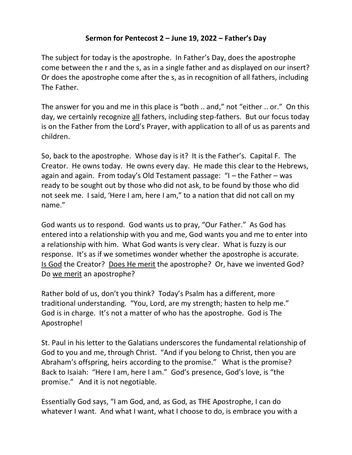# **Sermon for Pentecost 2 – June 19, 2022 – Father's Day**

The subject for today is the apostrophe. In Father's Day, does the apostrophe come between the r and the s, as in a single father and as displayed on our insert? Or does the apostrophe come after the s, as in recognition of all fathers, including The Father.

The answer for you and me in this place is "both .. and," not "either .. or." On this day, we certainly recognize all fathers, including step-fathers. But our focus today is on the Father from the Lord's Prayer, with application to all of us as parents and children.

So, back to the apostrophe. Whose day is it? It is the Father's. Capital F. The Creator. He owns today. He owns every day. He made this clear to the Hebrews, again and again. From today's Old Testament passage: "I – the Father – was ready to be sought out by those who did not ask, to be found by those who did not seek me. I said, 'Here I am, here I am," to a nation that did not call on my name."

God wants us to respond. God wants us to pray, "Our Father." As God has entered into a relationship with you and me, God wants you and me to enter into a relationship with him. What God wants is very clear. What is fuzzy is our response. It's as if we sometimes wonder whether the apostrophe is accurate. Is God the Creator? Does He merit the apostrophe? Or, have we invented God? Do we merit an apostrophe?

Rather bold of us, don't you think? Today's Psalm has a different, more traditional understanding. "You, Lord, are my strength; hasten to help me." God is in charge. It's not a matter of who has the apostrophe. God is The Apostrophe!

St. Paul in his letter to the Galatians underscores the fundamental relationship of God to you and me, through Christ. "And if you belong to Christ, then you are Abraham's offspring, heirs according to the promise." What is the promise? Back to Isaiah: "Here I am, here I am." God's presence, God's love, is "the promise." And it is not negotiable.

Essentially God says, "I am God, and, as God, as THE Apostrophe, I can do whatever I want. And what I want, what I choose to do, is embrace you with a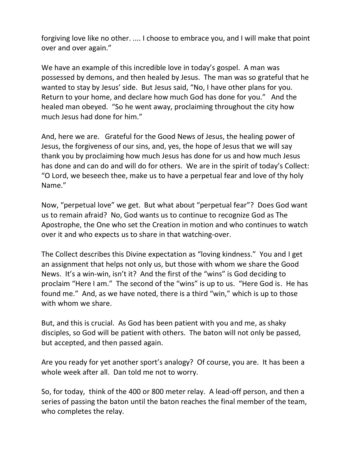forgiving love like no other. .... I choose to embrace you, and I will make that point over and over again."

We have an example of this incredible love in today's gospel. A man was possessed by demons, and then healed by Jesus. The man was so grateful that he wanted to stay by Jesus' side. But Jesus said, "No, I have other plans for you. Return to your home, and declare how much God has done for you." And the healed man obeyed. "So he went away, proclaiming throughout the city how much Jesus had done for him."

And, here we are. Grateful for the Good News of Jesus, the healing power of Jesus, the forgiveness of our sins, and, yes, the hope of Jesus that we will say thank you by proclaiming how much Jesus has done for us and how much Jesus has done and can do and will do for others. We are in the spirit of today's Collect: "O Lord, we beseech thee, make us to have a perpetual fear and love of thy holy Name."

Now, "perpetual love" we get. But what about "perpetual fear"? Does God want us to remain afraid? No, God wants us to continue to recognize God as The Apostrophe, the One who set the Creation in motion and who continues to watch over it and who expects us to share in that watching-over.

The Collect describes this Divine expectation as "loving kindness." You and I get an assignment that helps not only us, but those with whom we share the Good News. It's a win-win, isn't it? And the first of the "wins" is God deciding to proclaim "Here I am." The second of the "wins" is up to us. "Here God is. He has found me." And, as we have noted, there is a third "win," which is up to those with whom we share.

But, and this is crucial. As God has been patient with you and me, as shaky disciples, so God will be patient with others. The baton will not only be passed, but accepted, and then passed again.

Are you ready for yet another sport's analogy? Of course, you are. It has been a whole week after all. Dan told me not to worry.

So, for today, think of the 400 or 800 meter relay. A lead-off person, and then a series of passing the baton until the baton reaches the final member of the team, who completes the relay.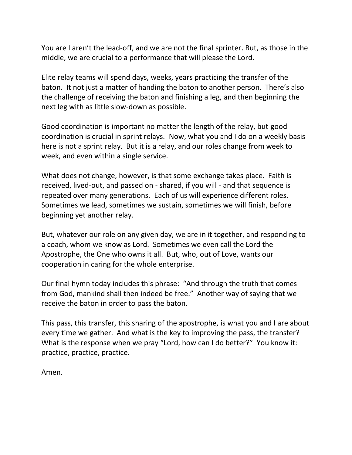You are I aren't the lead-off, and we are not the final sprinter. But, as those in the middle, we are crucial to a performance that will please the Lord.

Elite relay teams will spend days, weeks, years practicing the transfer of the baton. It not just a matter of handing the baton to another person. There's also the challenge of receiving the baton and finishing a leg, and then beginning the next leg with as little slow-down as possible.

Good coordination is important no matter the length of the relay, but good coordination is crucial in sprint relays. Now, what you and I do on a weekly basis here is not a sprint relay. But it is a relay, and our roles change from week to week, and even within a single service.

What does not change, however, is that some exchange takes place. Faith is received, lived-out, and passed on - shared, if you will - and that sequence is repeated over many generations. Each of us will experience different roles. Sometimes we lead, sometimes we sustain, sometimes we will finish, before beginning yet another relay.

But, whatever our role on any given day, we are in it together, and responding to a coach, whom we know as Lord. Sometimes we even call the Lord the Apostrophe, the One who owns it all. But, who, out of Love, wants our cooperation in caring for the whole enterprise.

Our final hymn today includes this phrase: "And through the truth that comes from God, mankind shall then indeed be free." Another way of saying that we receive the baton in order to pass the baton.

This pass, this transfer, this sharing of the apostrophe, is what you and I are about every time we gather. And what is the key to improving the pass, the transfer? What is the response when we pray "Lord, how can I do better?" You know it: practice, practice, practice.

Amen.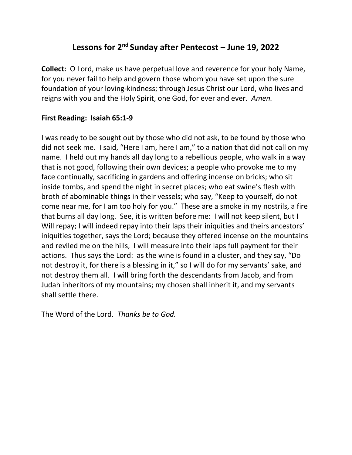# **Lessons for 2nd Sunday after Pentecost – June 19, 2022**

**Collect:** O Lord, make us have perpetual love and reverence for your holy Name, for you never fail to help and govern those whom you have set upon the sure foundation of your loving-kindness; through Jesus Christ our Lord, who lives and reigns with you and the Holy Spirit, one God, for ever and ever. *Amen.*

# **First Reading: Isaiah 65:1-9**

I was ready to be sought out by those who did not ask, to be found by those who did not seek me. I said, "Here I am, here I am," to a nation that did not call on my name. I held out my hands all day long to a rebellious people, who walk in a way that is not good, following their own devices; a people who provoke me to my face continually, sacrificing in gardens and offering incense on bricks; who sit inside tombs, and spend the night in secret places; who eat swine's flesh with broth of abominable things in their vessels; who say, "Keep to yourself, do not come near me, for I am too holy for you." These are a smoke in my nostrils, a fire that burns all day long. See, it is written before me: I will not keep silent, but I Will repay; I will indeed repay into their laps their iniquities and theirs ancestors' iniquities together, says the Lord; because they offered incense on the mountains and reviled me on the hills, I will measure into their laps full payment for their actions. Thus says the Lord: as the wine is found in a cluster, and they say, "Do not destroy it, for there is a blessing in it," so I will do for my servants' sake, and not destroy them all. I will bring forth the descendants from Jacob, and from Judah inheritors of my mountains; my chosen shall inherit it, and my servants shall settle there.

The Word of the Lord. *Thanks be to God.*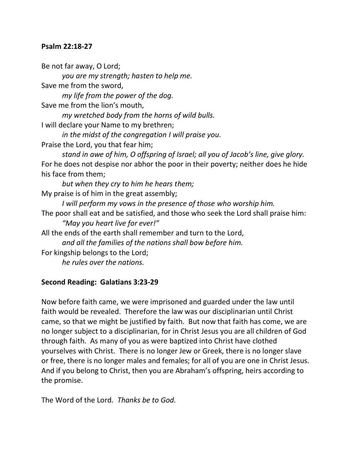## **Psalm 22:18-27**

Be not far away, O Lord;

*you are my strength; hasten to help me.*

Save me from the sword,

*my life from the power of the dog.*

Save me from the lion's mouth,

*my wretched body from the horns of wild bulls.*

I will declare your Name to my brethren;

*in the midst of the congregation I will praise you.*

Praise the Lord, you that fear him;

*stand in awe of him, O offspring of Israel; all you of Jacob's line, give glory.* For he does not despise nor abhor the poor in their poverty; neither does he hide his face from them;

*but when they cry to him he hears them;* My praise is of him in the great assembly;

*I will perform my vows in the presence of those who worship him.*

The poor shall eat and be satisfied, and those who seek the Lord shall praise him: *"May you heart live for ever!"*

All the ends of the earth shall remember and turn to the Lord,

*and all the families of the nations shall bow before him.*

For kingship belongs to the Lord;

*he rules over the nations.*

## **Second Reading: Galatians 3:23-29**

Now before faith came, we were imprisoned and guarded under the law until faith would be revealed. Therefore the law was our disciplinarian until Christ came, so that we might be justified by faith. But now that faith has come, we are no longer subject to a disciplinarian, for in Christ Jesus you are all children of God through faith. As many of you as were baptized into Christ have clothed yourselves with Christ. There is no longer Jew or Greek, there is no longer slave or free, there is no longer males and females; for all of you are one in Christ Jesus. And if you belong to Christ, then you are Abraham's offspring, heirs according to the promise.

The Word of the Lord. *Thanks be to God.*